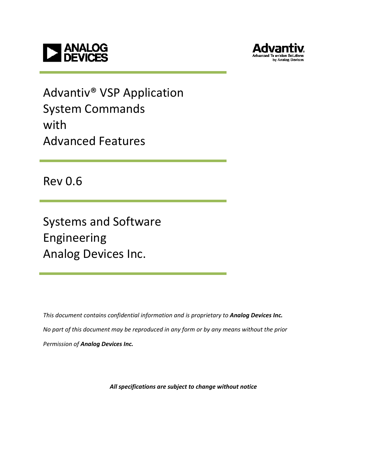



Advantiv® VSP Application System Commands with Advanced Features

Rev 0.6

Systems and Software Engineering Analog Devices Inc.

This document contains confidential information and is proprietary to Analog Devices Inc. No part of this document may be reproduced in any form or by any means without the prior Permission of Analog Devices Inc.

All specifications are subject to change without notice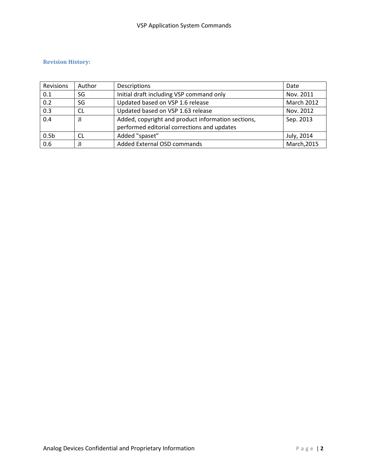#### Revision History:

| Revisions        | Author    | Descriptions                                       | Date        |
|------------------|-----------|----------------------------------------------------|-------------|
| 0.1              | SG        | Initial draft including VSP command only           | Nov. 2011   |
| 0.2              | SG        | Updated based on VSP 1.6 release                   | March 2012  |
| 0.3              | <b>CL</b> | Updated based on VSP 1.63 release                  | Nov. 2012   |
| 0.4              | JΙ        | Added, copyright and product information sections, | Sep. 2013   |
|                  |           | performed editorial corrections and updates        |             |
| 0.5 <sub>b</sub> | CL        | Added "spaset"                                     | July, 2014  |
| 0.6              | Л         | Added External OSD commands                        | March, 2015 |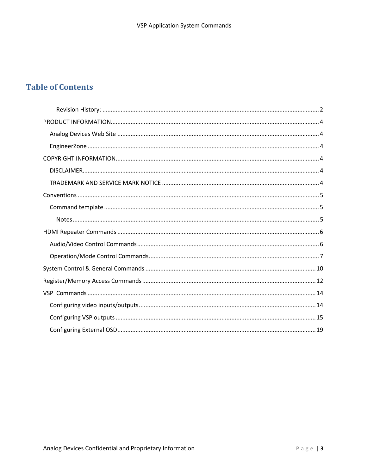### **Table of Contents**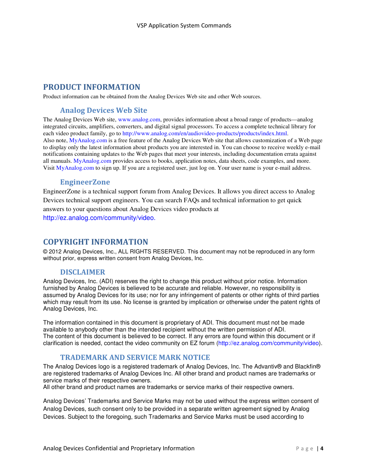### PRODUCT INFORMATION

Product information can be obtained from the Analog Devices Web site and other Web sources.

#### Analog Devices Web Site

The Analog Devices Web site, www.analog.com, provides information about a broad range of products—analog integrated circuits, amplifiers, converters, and digital signal processors. To access a complete technical library for each video product family, go to http://www.analog.com/en/audiovideo-products/products/index.html. Also note, MyAnalog.com is a free feature of the Analog Devices Web site that allows customization of a Web page to display only the latest information about products you are interested in. You can choose to receive weekly e-mail notifications containing updates to the Web pages that meet your interests, including documentation errata against all manuals. MyAnalog.com provides access to books, application notes, data sheets, code examples, and more. Visit MyAnalog.com to sign up. If you are a registered user, just log on. Your user name is your e-mail address.

#### EngineerZone

EngineerZone is a technical support forum from Analog Devices. It allows you direct access to Analog Devices technical support engineers. You can search FAQs and technical information to get quick answers to your questions about Analog Devices video products at http://ez.analog.com/community/video.

### COPYRIGHT INFORMATION

© 2012 Analog Devices, Inc., ALL RIGHTS RESERVED. This document may not be reproduced in any form without prior, express written consent from Analog Devices, Inc.

### **DISCLAIMER**

Analog Devices, Inc. (ADI) reserves the right to change this product without prior notice. Information furnished by Analog Devices is believed to be accurate and reliable. However, no responsibility is assumed by Analog Devices for its use; nor for any infringement of patents or other rights of third parties which may result from its use. No license is granted by implication or otherwise under the patent rights of Analog Devices, Inc.

The information contained in this document is proprietary of ADI. This document must not be made available to anybody other than the intended recipient without the written permission of ADI. The content of this document is believed to be correct. If any errors are found within this document or if clarification is needed, contact the video community on EZ forum (http://ez.analog.com/community/video).

### TRADEMARK AND SERVICE MARK NOTICE

The Analog Devices logo is a registered trademark of Analog Devices, Inc. The Advantiv® and Blackfin® are registered trademarks of Analog Devices Inc. All other brand and product names are trademarks or service marks of their respective owners.

All other brand and product names are trademarks or service marks of their respective owners.

Analog Devices' Trademarks and Service Marks may not be used without the express written consent of Analog Devices, such consent only to be provided in a separate written agreement signed by Analog Devices. Subject to the foregoing, such Trademarks and Service Marks must be used according to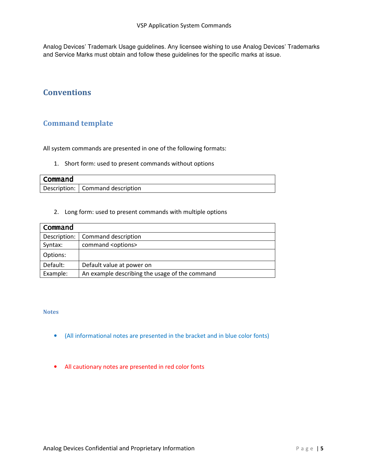Analog Devices' Trademark Usage guidelines. Any licensee wishing to use Analog Devices' Trademarks and Service Marks must obtain and follow these guidelines for the specific marks at issue.

### Conventions

### Command template

All system commands are presented in one of the following formats:

1. Short form: used to present commands without options

| Command |                                    |
|---------|------------------------------------|
|         | Description:   Command description |

2. Long form: used to present commands with multiple options

| Command      |                                                |
|--------------|------------------------------------------------|
| Description: | Command description                            |
| Syntax:      | command <options></options>                    |
| Options:     |                                                |
| Default:     | Default value at power on                      |
| Example:     | An example describing the usage of the command |

#### **Notes**

- (All informational notes are presented in the bracket and in blue color fonts)
- All cautionary notes are presented in red color fonts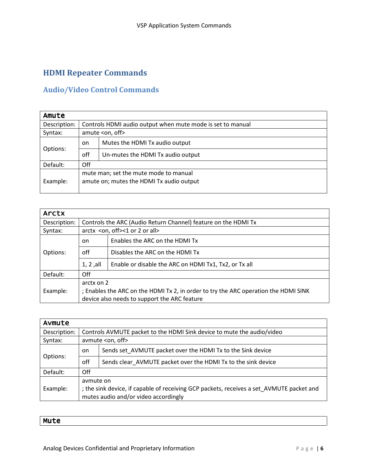## HDMI Repeater Commands

### Audio/Video Control Commands

| Amute        |                                                                                   |                                                            |  |  |
|--------------|-----------------------------------------------------------------------------------|------------------------------------------------------------|--|--|
| Description: |                                                                                   | Controls HDMI audio output when mute mode is set to manual |  |  |
| Syntax:      |                                                                                   | amute <on, off=""></on,>                                   |  |  |
|              | on.                                                                               | Mutes the HDMI Tx audio output                             |  |  |
| Options:     | off                                                                               | Un-mutes the HDMI Tx audio output                          |  |  |
| Default:     | Off                                                                               |                                                            |  |  |
| Example:     | mute man; set the mute mode to manual<br>amute on; mutes the HDMI Tx audio output |                                                            |  |  |

| <b>Arctx</b> |                                                                                                                                                   |                                                                |  |  |
|--------------|---------------------------------------------------------------------------------------------------------------------------------------------------|----------------------------------------------------------------|--|--|
| Description: |                                                                                                                                                   | Controls the ARC (Audio Return Channel) feature on the HDMI Tx |  |  |
| Syntax:      |                                                                                                                                                   | arctx <on, off="">&lt;1 or 2 or all&gt;</on,>                  |  |  |
|              | <sub>on</sub>                                                                                                                                     | Enables the ARC on the HDMI Tx                                 |  |  |
| Options:     | off                                                                                                                                               | Disables the ARC on the HDMI Tx                                |  |  |
|              | $1, 2,$ all                                                                                                                                       | Enable or disable the ARC on HDMI Tx1, Tx2, or Tx all          |  |  |
| Default:     | Off                                                                                                                                               |                                                                |  |  |
| Example:     | arctx on 2<br>; Enables the ARC on the HDMI Tx 2, in order to try the ARC operation the HDMI SINK<br>device also needs to support the ARC feature |                                                                |  |  |

| Avmute       |                                                                                          |                                                                        |  |  |
|--------------|------------------------------------------------------------------------------------------|------------------------------------------------------------------------|--|--|
| Description: |                                                                                          | Controls AVMUTE packet to the HDMI Sink device to mute the audio/video |  |  |
| Syntax:      |                                                                                          | avmute <on, off=""></on,>                                              |  |  |
|              | on                                                                                       | Sends set AVMUTE packet over the HDMI Tx to the Sink device            |  |  |
| Options:     | off                                                                                      | Sends clear AVMUTE packet over the HDMI Tx to the sink device          |  |  |
| Default:     | Off                                                                                      |                                                                        |  |  |
|              | avmute on                                                                                |                                                                        |  |  |
| Example:     | ; the sink device, if capable of receiving GCP packets, receives a set AVMUTE packet and |                                                                        |  |  |
|              | mutes audio and/or video accordingly                                                     |                                                                        |  |  |

Mute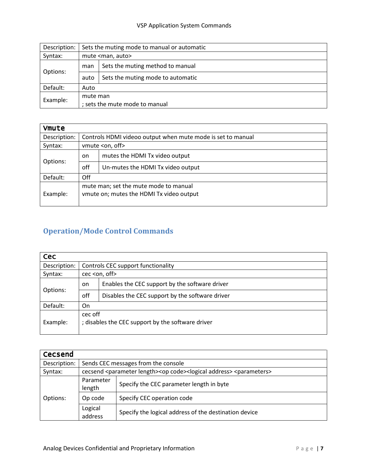### VSP Application System Commands

| Description: | Sets the muting mode to manual or automatic |                                   |  |  |
|--------------|---------------------------------------------|-----------------------------------|--|--|
| Syntax:      |                                             | mute <man, auto=""></man,>        |  |  |
|              | man                                         | Sets the muting method to manual  |  |  |
| Options:     | auto                                        | Sets the muting mode to automatic |  |  |
| Default:     | Auto                                        |                                   |  |  |
| Example:     | mute man                                    |                                   |  |  |
|              | ; sets the mute mode to manual              |                                   |  |  |

| <b>Vmute</b> |     |                                                                                   |  |  |
|--------------|-----|-----------------------------------------------------------------------------------|--|--|
| Description: |     | Controls HDMI videoo output when mute mode is set to manual                       |  |  |
| Syntax:      |     | vmute <on, off=""></on,>                                                          |  |  |
|              | on. | mutes the HDMI Tx video output                                                    |  |  |
| Options:     | off | Un-mutes the HDMI Tx video output                                                 |  |  |
| Default:     | Off |                                                                                   |  |  |
| Example:     |     | mute man; set the mute mode to manual<br>vmute on; mutes the HDMI Tx video output |  |  |

## Operation/Mode Control Commands

| <b>Cec</b>   |               |                                                              |  |  |
|--------------|---------------|--------------------------------------------------------------|--|--|
| Description: |               | Controls CEC support functionality                           |  |  |
| Syntax:      |               | cec <on, off=""></on,>                                       |  |  |
|              | <sub>on</sub> | Enables the CEC support by the software driver               |  |  |
| Options:     | off           | Disables the CEC support by the software driver              |  |  |
| Default:     | On            |                                                              |  |  |
| Example:     |               | cec off<br>; disables the CEC support by the software driver |  |  |

| Cecsend      |                     |                                                                                                                    |  |  |  |
|--------------|---------------------|--------------------------------------------------------------------------------------------------------------------|--|--|--|
| Description: |                     | Sends CEC messages from the console                                                                                |  |  |  |
| Syntax:      |                     | cecsend <parameter length=""><op code=""><logical address=""> <parameters></parameters></logical></op></parameter> |  |  |  |
| Options:     | Parameter<br>length | Specify the CEC parameter length in byte                                                                           |  |  |  |
|              | Op code             | Specify CEC operation code                                                                                         |  |  |  |
|              | Logical<br>address  | Specify the logical address of the destination device                                                              |  |  |  |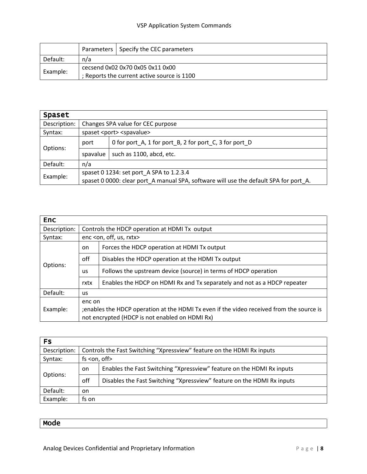|          |                                             | Parameters   Specify the CEC parameters |  |  |  |
|----------|---------------------------------------------|-----------------------------------------|--|--|--|
| Default: | n/a                                         |                                         |  |  |  |
|          |                                             | cecsend 0x02 0x70 0x05 0x11 0x00        |  |  |  |
| Example: | ; Reports the current active source is 1100 |                                         |  |  |  |

| Spaset       |                                                                                       |                                                        |  |  |
|--------------|---------------------------------------------------------------------------------------|--------------------------------------------------------|--|--|
| Description: | Changes SPA value for CEC purpose                                                     |                                                        |  |  |
| Syntax:      |                                                                                       | spaset <port> <spavalue></spavalue></port>             |  |  |
| Options:     | port                                                                                  | 0 for port_A, 1 for port_B, 2 for port_C, 3 for port_D |  |  |
|              | spavalue                                                                              | such as 1100, abcd, etc.                               |  |  |
| Default:     | n/a                                                                                   |                                                        |  |  |
| Example:     | spaset 0 1234: set port A SPA to 1.2.3.4                                              |                                                        |  |  |
|              | spaset 0 0000: clear port A manual SPA, software will use the default SPA for port A. |                                                        |  |  |

| Enc.         |                                                                                                                                                      |                                                                          |  |  |
|--------------|------------------------------------------------------------------------------------------------------------------------------------------------------|--------------------------------------------------------------------------|--|--|
| Description: |                                                                                                                                                      | Controls the HDCP operation at HDMI Tx output                            |  |  |
| Syntax:      |                                                                                                                                                      | enc <on, off,="" rxtx="" us,=""></on,>                                   |  |  |
|              | on.                                                                                                                                                  | Forces the HDCP operation at HDMI Tx output                              |  |  |
|              | off                                                                                                                                                  | Disables the HDCP operation at the HDMI Tx output                        |  |  |
| Options:     | <b>us</b>                                                                                                                                            | Follows the upstream device (source) in terms of HDCP operation          |  |  |
|              | rxtx                                                                                                                                                 | Enables the HDCP on HDMI Rx and Tx separately and not as a HDCP repeater |  |  |
| Default:     | us.                                                                                                                                                  |                                                                          |  |  |
| Example:     | enc on<br>jenables the HDCP operation at the HDMI Tx even if the video received from the source is<br>not encrypted (HDCP is not enabled on HDMI Rx) |                                                                          |  |  |

| <b>FS</b>    |           |                                                                        |  |  |
|--------------|-----------|------------------------------------------------------------------------|--|--|
| Description: |           | Controls the Fast Switching "Xpressview" feature on the HDMI Rx inputs |  |  |
| Syntax:      |           | $fs < on$ , off $>$                                                    |  |  |
| Options:     | on.       | Enables the Fast Switching "Xpressview" feature on the HDMI Rx inputs  |  |  |
|              | off       | Disables the Fast Switching "Xpressview" feature on the HDMI Rx inputs |  |  |
| Default:     | <b>on</b> |                                                                        |  |  |
| Example:     | fs on     |                                                                        |  |  |

| Mode |
|------|
|------|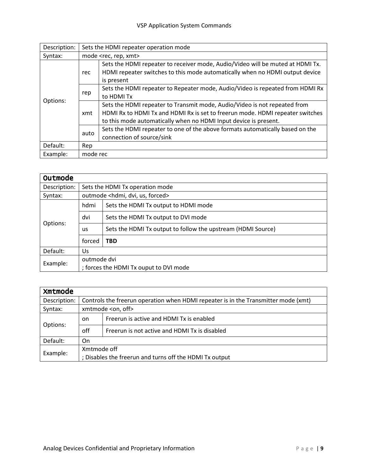| Description: | Sets the HDMI repeater operation mode |                                                                                                                                                                                                                                |  |  |
|--------------|---------------------------------------|--------------------------------------------------------------------------------------------------------------------------------------------------------------------------------------------------------------------------------|--|--|
| Syntax:      |                                       | mode <rec, rep,="" xmt=""></rec,>                                                                                                                                                                                              |  |  |
| Options:     | rec                                   | Sets the HDMI repeater to receiver mode, Audio/Video will be muted at HDMI Tx.<br>HDMI repeater switches to this mode automatically when no HDMI output device<br>is present                                                   |  |  |
|              | rep                                   | Sets the HDMI repeater to Repeater mode, Audio/Video is repeated from HDMI Rx<br>to HDMI Tx                                                                                                                                    |  |  |
|              | xmt                                   | Sets the HDMI repeater to Transmit mode, Audio/Video is not repeated from<br>HDMI Rx to HDMI Tx and HDMI Rx is set to freerun mode. HDMI repeater switches<br>to this mode automatically when no HDMI Input device is present. |  |  |
|              | auto                                  | Sets the HDMI repeater to one of the above formats automatically based on the<br>connection of source/sink                                                                                                                     |  |  |
| Default:     | Rep                                   |                                                                                                                                                                                                                                |  |  |
| Example:     | mode rec                              |                                                                                                                                                                                                                                |  |  |

| Outmode      |             |                                                              |  |  |
|--------------|-------------|--------------------------------------------------------------|--|--|
| Description: |             | Sets the HDMI Tx operation mode                              |  |  |
| Syntax:      |             | outmode <hdmi, dvi,="" forced="" us,=""></hdmi,>             |  |  |
| Options:     | hdmi        | Sets the HDMI Tx output to HDMI mode                         |  |  |
|              | dvi         | Sets the HDMI Tx output to DVI mode                          |  |  |
|              | <b>us</b>   | Sets the HDMI Tx output to follow the upstream (HDMI Source) |  |  |
|              | forced      | <b>TBD</b>                                                   |  |  |
| Default:     | Us          |                                                              |  |  |
| Example:     | outmode dvi |                                                              |  |  |
|              |             | ; forces the HDMI Tx ouput to DVI mode                       |  |  |

| Xmtmode      |                                                         |                                                                                    |  |  |
|--------------|---------------------------------------------------------|------------------------------------------------------------------------------------|--|--|
| Description: |                                                         | Controls the freerun operation when HDMI repeater is in the Transmitter mode (xmt) |  |  |
| Syntax:      |                                                         | xmtmode <on, off=""></on,>                                                         |  |  |
| Options:     | on.                                                     | Freerun is active and HDMI Tx is enabled                                           |  |  |
|              | off                                                     | Freerun is not active and HDMI Tx is disabled                                      |  |  |
| Default:     | On                                                      |                                                                                    |  |  |
| Example:     | Xmtmode off                                             |                                                                                    |  |  |
|              | ; Disables the freerun and turns off the HDMI Tx output |                                                                                    |  |  |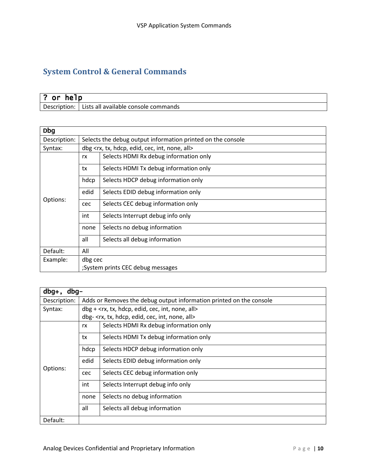# System Control & General Commands

| . .<br>٥r<br>he I p |                                      |  |
|---------------------|--------------------------------------|--|
| Description:        | Lists all available console commands |  |

| <b>Dbg</b>   |                                   |                                                                          |  |  |
|--------------|-----------------------------------|--------------------------------------------------------------------------|--|--|
| Description: |                                   | Selects the debug output information printed on the console              |  |  |
| Syntax:      |                                   | dbg <rx, all="" cec,="" edid,="" hdcp,="" int,="" none,="" tx,=""></rx,> |  |  |
|              | rx                                | Selects HDMI Rx debug information only                                   |  |  |
|              | tx                                | Selects HDMI Tx debug information only                                   |  |  |
|              | hdcp                              | Selects HDCP debug information only                                      |  |  |
|              | edid                              | Selects EDID debug information only                                      |  |  |
| Options:     | cec                               | Selects CEC debug information only                                       |  |  |
|              | int                               | Selects Interrupt debug info only                                        |  |  |
|              | none                              | Selects no debug information                                             |  |  |
|              | all                               | Selects all debug information                                            |  |  |
| Default:     | All                               |                                                                          |  |  |
| Example:     | dbg cec                           |                                                                          |  |  |
|              | ;System prints CEC debug messages |                                                                          |  |  |

| $dbg+$ ,<br>$dbq-$ |      |                                                                            |  |  |
|--------------------|------|----------------------------------------------------------------------------|--|--|
| Description:       |      | Adds or Removes the debug output information printed on the console        |  |  |
| Syntax:            |      | dbg + <rx, all="" cec,="" edid,="" hdcp,="" int,="" none,="" tx,=""></rx,> |  |  |
|                    |      | dbg- <rx, all="" cec,="" edid,="" hdcp,="" int,="" none,="" tx,=""></rx,>  |  |  |
|                    | rx   | Selects HDMI Rx debug information only                                     |  |  |
|                    | tx   | Selects HDMI Tx debug information only                                     |  |  |
|                    | hdcp | Selects HDCP debug information only                                        |  |  |
| Options:           | edid | Selects EDID debug information only                                        |  |  |
|                    | cec  | Selects CEC debug information only                                         |  |  |
|                    | int  | Selects Interrupt debug info only                                          |  |  |
|                    | none | Selects no debug information                                               |  |  |
|                    | all  | Selects all debug information                                              |  |  |
| Default:           |      |                                                                            |  |  |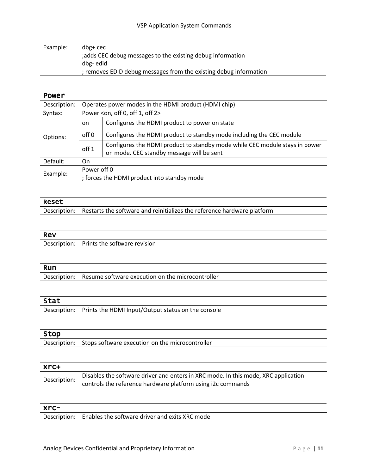| Example: | dbg+ cec                                                          |
|----------|-------------------------------------------------------------------|
|          | ; adds CEC debug messages to the existing debug information       |
|          | dbg-edid                                                          |
|          | ; removes EDID debug messages from the existing debug information |

| <b>Power</b> |                  |                                                                                                                          |  |  |
|--------------|------------------|--------------------------------------------------------------------------------------------------------------------------|--|--|
| Description: |                  | Operates power modes in the HDMI product (HDMI chip)                                                                     |  |  |
| Syntax:      |                  | Power <on, 0,="" 1,="" 2="" off=""></on,>                                                                                |  |  |
| Options:     | on.              | Configures the HDMI product to power on state                                                                            |  |  |
|              | off <sub>0</sub> | Configures the HDMI product to standby mode including the CEC module                                                     |  |  |
|              | off <sub>1</sub> | Configures the HDMI product to standby mode while CEC module stays in power<br>on mode. CEC standby message will be sent |  |  |
| Default:     | On.              |                                                                                                                          |  |  |
| Example:     | Power off 0      | ; forces the HDMI product into standby mode                                                                              |  |  |

| <b>Reset</b> |                                                                                        |  |
|--------------|----------------------------------------------------------------------------------------|--|
|              | Description:   Restarts the software and reinitializes the reference hardware platform |  |

| Rev          |                              |
|--------------|------------------------------|
| Description: | Prints the software revision |
|              |                              |

| Run          |                                                    |
|--------------|----------------------------------------------------|
| Description: | l Resume software execution on the microcontroller |

| Stat |                                                                    |
|------|--------------------------------------------------------------------|
|      | 'Description:   Prints the HDMI Input/Output status on the console |
|      |                                                                    |

| Stop         |                                                 |
|--------------|-------------------------------------------------|
| Description: | Stops software execution on the microcontroller |

| l xrc+       |                                                                                    |  |
|--------------|------------------------------------------------------------------------------------|--|
| Description: | Disables the software driver and enters in XRC mode. In this mode, XRC application |  |
|              | controls the reference hardware platform using i2c commands                        |  |

| $x$ rc-      |                                                |
|--------------|------------------------------------------------|
| Description: | Enables the software driver and exits XRC mode |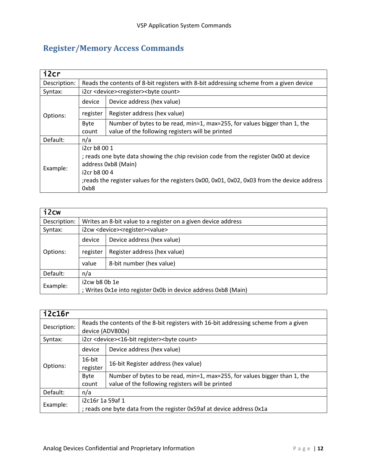# Register/Memory Access Commands

| i2cr         |                                                                                              |                                                                           |  |  |  |
|--------------|----------------------------------------------------------------------------------------------|---------------------------------------------------------------------------|--|--|--|
| Description: | Reads the contents of 8-bit registers with 8-bit addressing scheme from a given device       |                                                                           |  |  |  |
| Syntax:      |                                                                                              | i2cr <device><register><br/>&gt;byte count&gt;</register></device>        |  |  |  |
|              | device                                                                                       | Device address (hex value)                                                |  |  |  |
| Options:     | register                                                                                     | Register address (hex value)                                              |  |  |  |
|              | Byte                                                                                         | Number of bytes to be read, min=1, max=255, for values bigger than 1, the |  |  |  |
|              | count                                                                                        | value of the following registers will be printed                          |  |  |  |
| Default:     | n/a                                                                                          |                                                                           |  |  |  |
|              | i2cr b8 00 1                                                                                 |                                                                           |  |  |  |
| Example:     | ; reads one byte data showing the chip revision code from the register 0x00 at device        |                                                                           |  |  |  |
|              | address 0xb8 (Main)                                                                          |                                                                           |  |  |  |
|              | i2cr b8 00 4                                                                                 |                                                                           |  |  |  |
|              | ; reads the register values for the registers 0x00, 0x01, 0x02, 0x03 from the device address |                                                                           |  |  |  |
|              | 0xb8                                                                                         |                                                                           |  |  |  |

| $i2$ cw      |                                                                                 |                                                               |  |  |
|--------------|---------------------------------------------------------------------------------|---------------------------------------------------------------|--|--|
| Description: |                                                                                 | Writes an 8-bit value to a register on a given device address |  |  |
| Syntax:      |                                                                                 | i2cw <device><register><value></value></register></device>    |  |  |
| Options:     | device                                                                          | Device address (hex value)                                    |  |  |
|              | register                                                                        | Register address (hex value)                                  |  |  |
|              | value                                                                           | 8-bit number (hex value)                                      |  |  |
| Default:     | n/a                                                                             |                                                               |  |  |
| Example:     | i2cw b8 0b 1e<br>; Writes 0x1e into register 0x0b in device address 0xb8 (Main) |                                                               |  |  |

| i2c16r       |                                                                       |                                                                                                          |  |  |
|--------------|-----------------------------------------------------------------------|----------------------------------------------------------------------------------------------------------|--|--|
| Description: |                                                                       | Reads the contents of the 8-bit registers with 16-bit addressing scheme from a given<br>device (ADV800x) |  |  |
| Syntax:      |                                                                       | i2cr <device>&lt;16-bit register&gt;<br/>&gt;byte count&gt;</device>                                     |  |  |
| Options:     | device                                                                | Device address (hex value)                                                                               |  |  |
|              | $16$ -bit<br>register                                                 | 16-bit Register address (hex value)                                                                      |  |  |
|              | Byte                                                                  | Number of bytes to be read, min=1, max=255, for values bigger than 1, the                                |  |  |
|              | count                                                                 | value of the following registers will be printed                                                         |  |  |
| Default:     | n/a                                                                   |                                                                                                          |  |  |
| Example:     | i2c16r 1a 59af 1                                                      |                                                                                                          |  |  |
|              | ; reads one byte data from the register 0x59af at device address 0x1a |                                                                                                          |  |  |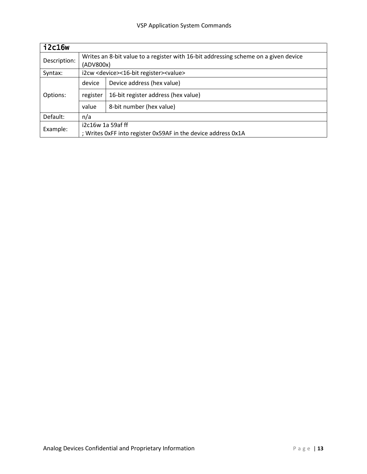| i2c16w       |                                                                                                  |                                                              |  |  |
|--------------|--------------------------------------------------------------------------------------------------|--------------------------------------------------------------|--|--|
| Description: | Writes an 8-bit value to a register with 16-bit addressing scheme on a given device<br>(ADV800x) |                                                              |  |  |
| Syntax:      |                                                                                                  | i2cw <device>&lt;16-bit register&gt;<value></value></device> |  |  |
| Options:     | device                                                                                           | Device address (hex value)                                   |  |  |
|              | register                                                                                         | 16-bit register address (hex value)                          |  |  |
|              | value                                                                                            | 8-bit number (hex value)                                     |  |  |
| Default:     | n/a                                                                                              |                                                              |  |  |
| Example:     | i2c16w 1a 59af ff                                                                                |                                                              |  |  |
|              | ; Writes 0xFF into register 0x59AF in the device address 0x1A                                    |                                                              |  |  |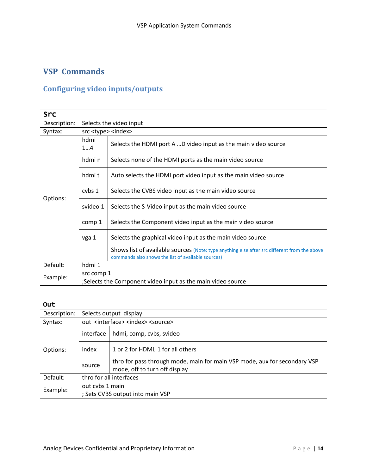## VSP Commands

### Configuring video inputs/outputs

| <b>Src</b>   |                                   |                                                                                                                                                    |  |  |
|--------------|-----------------------------------|----------------------------------------------------------------------------------------------------------------------------------------------------|--|--|
| Description: |                                   | Selects the video input                                                                                                                            |  |  |
| Syntax:      | src <type> <index></index></type> |                                                                                                                                                    |  |  |
|              | hdmi<br>14                        | Selects the HDMI port A D video input as the main video source                                                                                     |  |  |
| Options:     | hdmi n                            | Selects none of the HDMI ports as the main video source                                                                                            |  |  |
|              | hdmit                             | Auto selects the HDMI port video input as the main video source                                                                                    |  |  |
|              | cvbs 1                            | Selects the CVBS video input as the main video source                                                                                              |  |  |
|              | svideo 1                          | Selects the S-Video input as the main video source                                                                                                 |  |  |
|              | comp 1                            | Selects the Component video input as the main video source                                                                                         |  |  |
|              | vga 1                             | Selects the graphical video input as the main video source                                                                                         |  |  |
|              |                                   | Shows list of available sources (Note: type anything else after src different from the above<br>commands also shows the list of available sources) |  |  |
| Default:     | hdmi 1                            |                                                                                                                                                    |  |  |
| Example:     | src comp 1                        |                                                                                                                                                    |  |  |
|              |                                   | ;Selects the Component video input as the main video source                                                                                        |  |  |

| Out          |                                                                                                                      |                                                       |  |  |  |  |  |
|--------------|----------------------------------------------------------------------------------------------------------------------|-------------------------------------------------------|--|--|--|--|--|
| Description: |                                                                                                                      | Selects output display                                |  |  |  |  |  |
| Syntax:      |                                                                                                                      | out <interface> <index> <source/></index></interface> |  |  |  |  |  |
|              | interface                                                                                                            | hdmi, comp, cvbs, svideo                              |  |  |  |  |  |
| Options:     | index<br>1 or 2 for HDMI, 1 for all others                                                                           |                                                       |  |  |  |  |  |
|              | thro for pass through mode, main for main VSP mode, aux for secondary VSP<br>source<br>mode, off to turn off display |                                                       |  |  |  |  |  |
| Default:     | thro for all interfaces                                                                                              |                                                       |  |  |  |  |  |
| Example:     |                                                                                                                      | out cybs 1 main                                       |  |  |  |  |  |
|              |                                                                                                                      | ; Sets CVBS output into main VSP                      |  |  |  |  |  |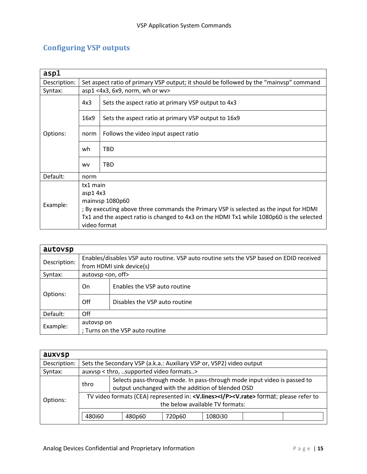# Configuring VSP outputs

| asp1         |                                                                                        |                                                                                          |  |  |  |  |  |
|--------------|----------------------------------------------------------------------------------------|------------------------------------------------------------------------------------------|--|--|--|--|--|
| Description: | Set aspect ratio of primary VSP output; it should be followed by the "mainvsp" command |                                                                                          |  |  |  |  |  |
| Syntax:      |                                                                                        | $asp1 < 4x3$ , $6x9$ , norm, wh or wv>                                                   |  |  |  |  |  |
|              | 4x3                                                                                    | Sets the aspect ratio at primary VSP output to 4x3                                       |  |  |  |  |  |
|              | 16x9                                                                                   | Sets the aspect ratio at primary VSP output to 16x9                                      |  |  |  |  |  |
| Options:     | norm                                                                                   | Follows the video input aspect ratio                                                     |  |  |  |  |  |
|              | wh                                                                                     | TBD                                                                                      |  |  |  |  |  |
|              | <b>WV</b>                                                                              | <b>TBD</b>                                                                               |  |  |  |  |  |
| Default:     | norm                                                                                   |                                                                                          |  |  |  |  |  |
|              | tx1 main                                                                               |                                                                                          |  |  |  |  |  |
| Example:     | asp1 4x3                                                                               |                                                                                          |  |  |  |  |  |
|              | mainvsp 1080p60                                                                        |                                                                                          |  |  |  |  |  |
|              | ; By executing above three commands the Primary VSP is selected as the input for HDMI  |                                                                                          |  |  |  |  |  |
|              |                                                                                        | Tx1 and the aspect ratio is changed to 4x3 on the HDMI Tx1 while 1080p60 is the selected |  |  |  |  |  |
|              | video format                                                                           |                                                                                          |  |  |  |  |  |

| autovsp      |                                                                                         |                                 |  |  |  |  |  |
|--------------|-----------------------------------------------------------------------------------------|---------------------------------|--|--|--|--|--|
|              | Enables/disables VSP auto routine. VSP auto routine sets the VSP based on EDID received |                                 |  |  |  |  |  |
| Description: |                                                                                         | from HDMI sink device(s)        |  |  |  |  |  |
| Syntax:      | autovsp <on, off=""></on,>                                                              |                                 |  |  |  |  |  |
|              | On.                                                                                     | Enables the VSP auto routine    |  |  |  |  |  |
| Options:     | Off                                                                                     | Disables the VSP auto routine   |  |  |  |  |  |
| Default:     | Off                                                                                     |                                 |  |  |  |  |  |
|              |                                                                                         | autovsp on                      |  |  |  |  |  |
| Example:     |                                                                                         | ; Turns on the VSP auto routine |  |  |  |  |  |

| auxvsp       |                                                                                                                                                     |                                                                                                                               |        |         |  |  |  |  |  |
|--------------|-----------------------------------------------------------------------------------------------------------------------------------------------------|-------------------------------------------------------------------------------------------------------------------------------|--------|---------|--|--|--|--|--|
| Description: |                                                                                                                                                     | Sets the Secondary VSP (a.k.a.: Auxiliary VSP or, VSP2) video output                                                          |        |         |  |  |  |  |  |
| Syntax:      |                                                                                                                                                     | auxvsp < thro, supported video formats>                                                                                       |        |         |  |  |  |  |  |
| Options:     | thro                                                                                                                                                | Selects pass-through mode. In pass-through mode input video is passed to<br>output unchanged with the addition of blended OSD |        |         |  |  |  |  |  |
|              | TV video formats (CEA) represented in: < <b>V.lines&gt;<i p=""><v.rate></v.rate></i></b> format; please refer to<br>the below available TV formats: |                                                                                                                               |        |         |  |  |  |  |  |
|              | 480i60                                                                                                                                              | 480p60                                                                                                                        | 720p60 | 1080i30 |  |  |  |  |  |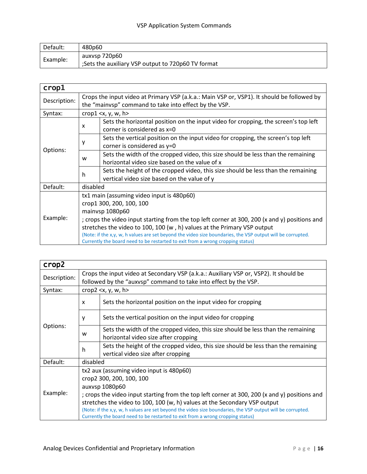| Default: | 480p60                                             |
|----------|----------------------------------------------------|
| Example: | auxysp 720p60                                      |
|          | ;Sets the auxiliary VSP output to 720p60 TV format |

| $\mathsf{crop}1$ |                                                                                                                                                                                                                                                                                                                                                                                                                                                                      |                                                                                                                                                     |  |  |  |  |  |
|------------------|----------------------------------------------------------------------------------------------------------------------------------------------------------------------------------------------------------------------------------------------------------------------------------------------------------------------------------------------------------------------------------------------------------------------------------------------------------------------|-----------------------------------------------------------------------------------------------------------------------------------------------------|--|--|--|--|--|
| Description:     |                                                                                                                                                                                                                                                                                                                                                                                                                                                                      | Crops the input video at Primary VSP (a.k.a.: Main VSP or, VSP1). It should be followed by<br>the "mainvsp" command to take into effect by the VSP. |  |  |  |  |  |
| Syntax:          |                                                                                                                                                                                                                                                                                                                                                                                                                                                                      | crop1 $\langle x, y, w, h \rangle$                                                                                                                  |  |  |  |  |  |
|                  | $\boldsymbol{\mathsf{x}}$                                                                                                                                                                                                                                                                                                                                                                                                                                            | Sets the horizontal position on the input video for cropping, the screen's top left<br>corner is considered as $x=0$                                |  |  |  |  |  |
|                  | у                                                                                                                                                                                                                                                                                                                                                                                                                                                                    | Sets the vertical position on the input video for cropping, the screen's top left<br>corner is considered as $y=0$                                  |  |  |  |  |  |
| Options:         | Sets the width of the cropped video, this size should be less than the remaining<br>W<br>horizontal video size based on the value of x                                                                                                                                                                                                                                                                                                                               |                                                                                                                                                     |  |  |  |  |  |
|                  | h                                                                                                                                                                                                                                                                                                                                                                                                                                                                    | Sets the height of the cropped video, this size should be less than the remaining<br>vertical video size based on the value of y                    |  |  |  |  |  |
| Default:         | disabled                                                                                                                                                                                                                                                                                                                                                                                                                                                             |                                                                                                                                                     |  |  |  |  |  |
| Example:         | tx1 main (assuming video input is 480p60)<br>crop1 300, 200, 100, 100<br>mainvsp 1080p60<br>; crops the video input starting from the top left corner at 300, 200 (x and y) positions and<br>stretches the video to 100, 100 (w, h) values at the Primary VSP output<br>(Note: if the x,y, w, h values are set beyond the video size boundaries, the VSP output will be corrupted.<br>Currently the board need to be restarted to exit from a wrong cropping status) |                                                                                                                                                     |  |  |  |  |  |

| crop2        |                                                                                               |                                                                                                                          |  |  |  |  |  |
|--------------|-----------------------------------------------------------------------------------------------|--------------------------------------------------------------------------------------------------------------------------|--|--|--|--|--|
| Description: | Crops the input video at Secondary VSP (a.k.a.: Auxiliary VSP or, VSP2). It should be         |                                                                                                                          |  |  |  |  |  |
|              |                                                                                               | followed by the "auxysp" command to take into effect by the VSP.                                                         |  |  |  |  |  |
| Syntax:      |                                                                                               | crop2 $\langle x, y, w, h \rangle$                                                                                       |  |  |  |  |  |
|              | X                                                                                             | Sets the horizontal position on the input video for cropping                                                             |  |  |  |  |  |
|              | у                                                                                             | Sets the vertical position on the input video for cropping                                                               |  |  |  |  |  |
| Options:     | w                                                                                             | Sets the width of the cropped video, this size should be less than the remaining<br>horizontal video size after cropping |  |  |  |  |  |
|              | h                                                                                             | Sets the height of the cropped video, this size should be less than the remaining<br>vertical video size after cropping  |  |  |  |  |  |
| Default:     | disabled                                                                                      |                                                                                                                          |  |  |  |  |  |
|              |                                                                                               | tx2 aux (assuming video input is 480p60)                                                                                 |  |  |  |  |  |
|              | crop2 300, 200, 100, 100                                                                      |                                                                                                                          |  |  |  |  |  |
|              | auxvsp 1080p60                                                                                |                                                                                                                          |  |  |  |  |  |
| Example:     | ; crops the video input starting from the top left corner at 300, 200 (x and y) positions and |                                                                                                                          |  |  |  |  |  |
|              | stretches the video to 100, 100 (w, h) values at the Secondary VSP output                     |                                                                                                                          |  |  |  |  |  |
|              |                                                                                               | (Note: if the x,y, w, h values are set beyond the video size boundaries, the VSP output will be corrupted.               |  |  |  |  |  |
|              |                                                                                               | Currently the board need to be restarted to exit from a wrong cropping status)                                           |  |  |  |  |  |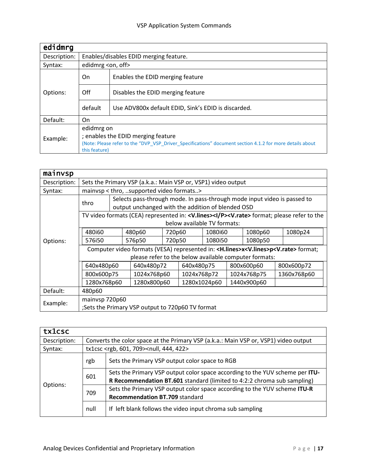| edidmrg      |                                                                                                                                                                               |                                                     |  |  |  |  |
|--------------|-------------------------------------------------------------------------------------------------------------------------------------------------------------------------------|-----------------------------------------------------|--|--|--|--|
| Description: |                                                                                                                                                                               | Enables/disables EDID merging feature.              |  |  |  |  |
| Syntax:      | edidmrg <on, off=""></on,>                                                                                                                                                    |                                                     |  |  |  |  |
|              | On                                                                                                                                                                            | Enables the EDID merging feature                    |  |  |  |  |
| Options:     | Off                                                                                                                                                                           | Disables the EDID merging feature                   |  |  |  |  |
|              | default                                                                                                                                                                       | Use ADV800x default EDID, Sink's EDID is discarded. |  |  |  |  |
| Default:     | On                                                                                                                                                                            |                                                     |  |  |  |  |
| Example:     | edidmrg on<br>; enables the EDID merging feature<br>(Note: Please refer to the "DVP_VSP_Driver_Specifications" document section 4.1.2 for more details about<br>this feature) |                                                     |  |  |  |  |

| mainvsp      |                                                                                                                 |                                                                                                                                                     |                                                                                                                               |        |                   |         |             |         |  |             |
|--------------|-----------------------------------------------------------------------------------------------------------------|-----------------------------------------------------------------------------------------------------------------------------------------------------|-------------------------------------------------------------------------------------------------------------------------------|--------|-------------------|---------|-------------|---------|--|-------------|
| Description: |                                                                                                                 | Sets the Primary VSP (a.k.a.: Main VSP or, VSP1) video output                                                                                       |                                                                                                                               |        |                   |         |             |         |  |             |
| Syntax:      |                                                                                                                 |                                                                                                                                                     | mainvsp < thro, supported video formats>                                                                                      |        |                   |         |             |         |  |             |
|              | thro                                                                                                            |                                                                                                                                                     | Selects pass-through mode. In pass-through mode input video is passed to<br>output unchanged with the addition of blended OSD |        |                   |         |             |         |  |             |
|              |                                                                                                                 | TV video formats (CEA) represented in: <v.lines><i p=""><v.rate> format; please refer to the<br/>below available TV formats:</v.rate></i></v.lines> |                                                                                                                               |        |                   |         |             |         |  |             |
|              | 480i60                                                                                                          |                                                                                                                                                     | 480p60                                                                                                                        | 720p60 |                   | 1080i60 |             | 1080p60 |  | 1080p24     |
| Options:     | 576i50                                                                                                          |                                                                                                                                                     | 576p50                                                                                                                        |        | 720p50<br>1080i50 |         | 1080p50     |         |  |             |
|              | Computer video formats (VESA) represented in: <h.lines>x<v.lines>p<v.rate> format;</v.rate></v.lines></h.lines> |                                                                                                                                                     |                                                                                                                               |        |                   |         |             |         |  |             |
|              | please refer to the below available computer formats:                                                           |                                                                                                                                                     |                                                                                                                               |        |                   |         |             |         |  |             |
|              | 640x480p60                                                                                                      |                                                                                                                                                     | 640x480p72                                                                                                                    |        | 640x480p75        |         | 800x600p60  |         |  | 800x600p72  |
|              | 800x600p75                                                                                                      |                                                                                                                                                     | 1024x768p60                                                                                                                   |        | 1024x768p72       |         | 1024x768p75 |         |  | 1360x768p60 |
|              | 1280x768p60                                                                                                     |                                                                                                                                                     | 1280x800p60                                                                                                                   |        | 1280x1024p60      |         | 1440x900p60 |         |  |             |
| Default:     | 480p60                                                                                                          |                                                                                                                                                     |                                                                                                                               |        |                   |         |             |         |  |             |
| Example:     | mainvsp 720p60                                                                                                  |                                                                                                                                                     |                                                                                                                               |        |                   |         |             |         |  |             |
|              |                                                                                                                 |                                                                                                                                                     | ;Sets the Primary VSP output to 720p60 TV format                                                                              |        |                   |         |             |         |  |             |

| tx1csc       |      |                                                                                                                                                         |  |  |  |  |  |
|--------------|------|---------------------------------------------------------------------------------------------------------------------------------------------------------|--|--|--|--|--|
| Description: |      | Converts the color space at the Primary VSP (a.k.a.: Main VSP or, VSP1) video output                                                                    |  |  |  |  |  |
| Syntax:      |      | tx1csc <rgb, 601,="" 709=""><null, 422="" 444,=""></null,></rgb,>                                                                                       |  |  |  |  |  |
|              | rgb  | Sets the Primary VSP output color space to RGB                                                                                                          |  |  |  |  |  |
|              | 601  | Sets the Primary VSP output color space according to the YUV scheme per ITU-<br>R Recommendation BT.601 standard (limited to 4:2:2 chroma sub sampling) |  |  |  |  |  |
| Options:     | 709  | Sets the Primary VSP output color space according to the YUV scheme ITU-R<br>Recommendation BT.709 standard                                             |  |  |  |  |  |
|              | null | If left blank follows the video input chroma sub sampling                                                                                               |  |  |  |  |  |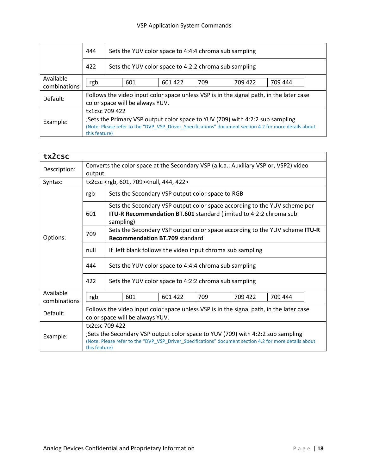### VSP Application System Commands

|                           | 444<br>Sets the YUV color space to 4:4:4 chroma sub sampling |                                                                                                                                                                                                                            |  |  |  |  |  |  |  |  |
|---------------------------|--------------------------------------------------------------|----------------------------------------------------------------------------------------------------------------------------------------------------------------------------------------------------------------------------|--|--|--|--|--|--|--|--|
|                           | 422                                                          | Sets the YUV color space to 4:2:2 chroma sub sampling                                                                                                                                                                      |  |  |  |  |  |  |  |  |
| Available<br>combinations | 709<br>709 422<br>709 444<br>601<br>601 422<br>rgb           |                                                                                                                                                                                                                            |  |  |  |  |  |  |  |  |
| Default:                  |                                                              | Follows the video input color space unless VSP is in the signal path, in the later case<br>color space will be always YUV.                                                                                                 |  |  |  |  |  |  |  |  |
| Example:                  |                                                              | tx1csc 709 422<br>;Sets the Primary VSP output color space to YUV (709) with 4:2:2 sub sampling<br>(Note: Please refer to the "DVP_VSP_Driver_Specifications" document section 4.2 for more details about<br>this feature) |  |  |  |  |  |  |  |  |

| tx2csc                    |                                                                                                                            |                                             |                                                                                                                      |  |                                                  |                                                                   |                                                                                                                                                                                           |  |  |  |  |
|---------------------------|----------------------------------------------------------------------------------------------------------------------------|---------------------------------------------|----------------------------------------------------------------------------------------------------------------------|--|--------------------------------------------------|-------------------------------------------------------------------|-------------------------------------------------------------------------------------------------------------------------------------------------------------------------------------------|--|--|--|--|
| Description:              | Converts the color space at the Secondary VSP (a.k.a.: Auxiliary VSP or, VSP2) video<br>output                             |                                             |                                                                                                                      |  |                                                  |                                                                   |                                                                                                                                                                                           |  |  |  |  |
| Syntax:                   |                                                                                                                            |                                             | tx2csc <rgb, 601,="" 709=""><null, 422="" 444,=""></null,></rgb,>                                                    |  |                                                  |                                                                   |                                                                                                                                                                                           |  |  |  |  |
|                           | rgb                                                                                                                        |                                             |                                                                                                                      |  | Sets the Secondary VSP output color space to RGB |                                                                   |                                                                                                                                                                                           |  |  |  |  |
|                           | 601                                                                                                                        |                                             | sampling)                                                                                                            |  |                                                  | ITU-R Recommendation BT.601 standard (limited to 4:2:2 chroma sub | Sets the Secondary VSP output color space according to the YUV scheme per                                                                                                                 |  |  |  |  |
| Options:                  | 709                                                                                                                        |                                             | Sets the Secondary VSP output color space according to the YUV scheme ITU-R<br><b>Recommendation BT.709 standard</b> |  |                                                  |                                                                   |                                                                                                                                                                                           |  |  |  |  |
|                           | null                                                                                                                       |                                             | If left blank follows the video input chroma sub sampling                                                            |  |                                                  |                                                                   |                                                                                                                                                                                           |  |  |  |  |
|                           | 444                                                                                                                        |                                             | Sets the YUV color space to 4:4:4 chroma sub sampling                                                                |  |                                                  |                                                                   |                                                                                                                                                                                           |  |  |  |  |
|                           | 422                                                                                                                        |                                             | Sets the YUV color space to 4:2:2 chroma sub sampling                                                                |  |                                                  |                                                                   |                                                                                                                                                                                           |  |  |  |  |
| Available<br>combinations | rgb                                                                                                                        | 601<br>601 422<br>709<br>709 422<br>709 444 |                                                                                                                      |  |                                                  |                                                                   |                                                                                                                                                                                           |  |  |  |  |
| Default:                  | Follows the video input color space unless VSP is in the signal path, in the later case<br>color space will be always YUV. |                                             |                                                                                                                      |  |                                                  |                                                                   |                                                                                                                                                                                           |  |  |  |  |
| Example:                  | tx2csc 709 422<br>this feature)                                                                                            |                                             |                                                                                                                      |  |                                                  |                                                                   | ;Sets the Secondary VSP output color space to YUV (709) with 4:2:2 sub sampling<br>(Note: Please refer to the "DVP_VSP_Driver_Specifications" document section 4.2 for more details about |  |  |  |  |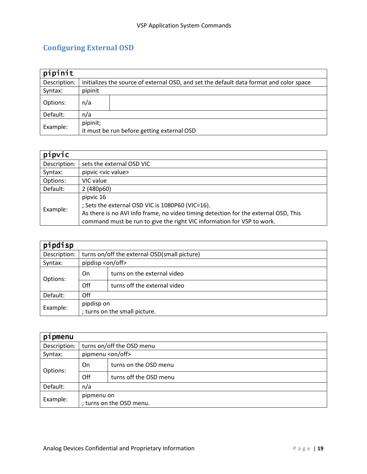# Configuring External OSD

| pipinit      |                                                        |                                                                                         |
|--------------|--------------------------------------------------------|-----------------------------------------------------------------------------------------|
| Description: |                                                        | initializes the source of external OSD, and set the default data format and color space |
| Syntax:      | pipinit                                                |                                                                                         |
| Options:     | n/a                                                    |                                                                                         |
| Default:     | n/a                                                    |                                                                                         |
| Example:     | pipinit;<br>it must be run before getting external OSD |                                                                                         |

| pipvic       |                                                                                                                                                                                                                                |
|--------------|--------------------------------------------------------------------------------------------------------------------------------------------------------------------------------------------------------------------------------|
| Description: | sets the external OSD VIC                                                                                                                                                                                                      |
| Syntax:      | pipvic <vic value=""></vic>                                                                                                                                                                                                    |
| Options:     | VIC value                                                                                                                                                                                                                      |
| Default:     | 2 (480p60)                                                                                                                                                                                                                     |
| Example:     | pipvic 16<br>; Sets the external OSD VIC is 1080P60 (VIC=16).<br>As there is no AVI Info frame, no video timing detection for the external OSD, This<br>command must be run to give the right VIC information for VSP to work. |

| pipdisp      |                               |                                              |  |  |
|--------------|-------------------------------|----------------------------------------------|--|--|
| Description: |                               | turns on/off the external OSD(small picture) |  |  |
| Syntax:      |                               | pipdisp <on off=""></on>                     |  |  |
| Options:     | On                            | turns on the external video                  |  |  |
|              | Off                           | turns off the external video                 |  |  |
| Default:     | Off                           |                                              |  |  |
| Example:     | pipdisp on                    |                                              |  |  |
|              | ; turns on the small picture. |                                              |  |  |

| pipmenu      |                          |                           |  |  |
|--------------|--------------------------|---------------------------|--|--|
| Description: |                          | turns on/off the OSD menu |  |  |
| Syntax:      | pipmenu <on off=""></on> |                           |  |  |
| Options:     | On.                      | turns on the OSD menu     |  |  |
|              | Off                      | turns off the OSD menu    |  |  |
| Default:     | n/a                      |                           |  |  |
| Example:     | pipmenu on               |                           |  |  |
|              | ; turns on the OSD menu. |                           |  |  |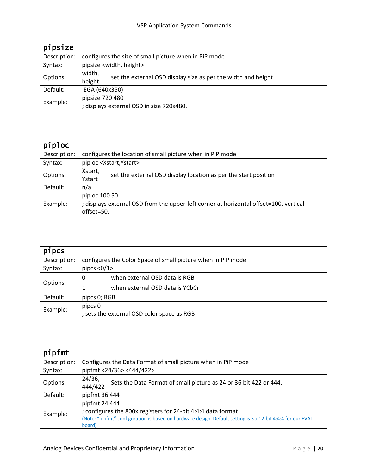| pipsize      |                                          |                                                               |  |  |
|--------------|------------------------------------------|---------------------------------------------------------------|--|--|
| Description: |                                          | configures the size of small picture when in PiP mode         |  |  |
| Syntax:      |                                          | pipsize <width, height=""></width,>                           |  |  |
|              | width,                                   | set the external OSD display size as per the width and height |  |  |
| Options:     | height                                   |                                                               |  |  |
| Default:     | EGA (640x350)                            |                                                               |  |  |
| Example:     | pipsize 720 480                          |                                                               |  |  |
|              | ; displays external OSD in size 720x480. |                                                               |  |  |

| piploc       |                                                                                       |                                                                 |  |  |
|--------------|---------------------------------------------------------------------------------------|-----------------------------------------------------------------|--|--|
| Description: |                                                                                       | configures the location of small picture when in PiP mode       |  |  |
| Syntax:      |                                                                                       | piploc <xstart, ystart=""></xstart,>                            |  |  |
| Options:     | Xstart,                                                                               | set the external OSD display location as per the start position |  |  |
|              | Ystart                                                                                |                                                                 |  |  |
| Default:     | n/a                                                                                   |                                                                 |  |  |
|              | piploc 100 50                                                                         |                                                                 |  |  |
| Example:     | ; displays external OSD from the upper-left corner at horizontal offset=100, vertical |                                                                 |  |  |
|              | offset=50.                                                                            |                                                                 |  |  |

| pipcs        |              |                                                              |  |  |
|--------------|--------------|--------------------------------------------------------------|--|--|
| Description: |              | configures the Color Space of small picture when in PiP mode |  |  |
| Syntax:      | pipcs $<0/1$ |                                                              |  |  |
|              | 0            | when external OSD data is RGB                                |  |  |
| Options:     |              | when external OSD data is YCbCr                              |  |  |
| Default:     | pipcs 0; RGB |                                                              |  |  |
| Example:     | pipcs 0      |                                                              |  |  |
|              |              | ; sets the external OSD color space as RGB                   |  |  |

| pipfmt       |                                                                                                                                                                                                        |                                                                   |  |
|--------------|--------------------------------------------------------------------------------------------------------------------------------------------------------------------------------------------------------|-------------------------------------------------------------------|--|
| Description: |                                                                                                                                                                                                        | Configures the Data Format of small picture when in PiP mode      |  |
| Syntax:      |                                                                                                                                                                                                        | pipfmt <24/36> <444/422>                                          |  |
| Options:     | 24/36,<br>444/422                                                                                                                                                                                      | Sets the Data Format of small picture as 24 or 36 bit 422 or 444. |  |
| Default:     |                                                                                                                                                                                                        | pipfmt 36 444                                                     |  |
| Example:     | pipfmt 24 444<br>; configures the 800x registers for 24-bit 4:4:4 data format<br>(Note: "pipfmt" configuration is based on hardware design. Default setting is 3 x 12-bit 4:4:4 for our EVAL<br>board) |                                                                   |  |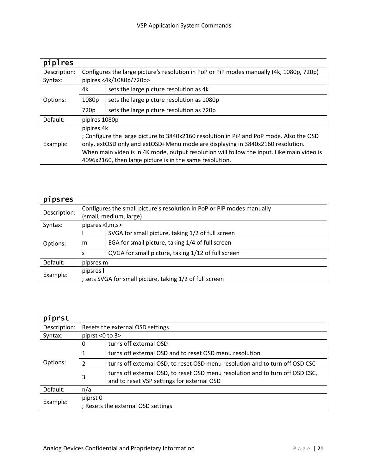| piplres      |                                                                                            |                                            |  |
|--------------|--------------------------------------------------------------------------------------------|--------------------------------------------|--|
| Description: | Configures the large picture's resolution in PoP or PiP modes manually (4k, 1080p, 720p)   |                                            |  |
| Syntax:      |                                                                                            | piplres <4k/1080p/720p>                    |  |
|              | 4k                                                                                         | sets the large picture resolution as 4k    |  |
| Options:     | 1080p                                                                                      | sets the large picture resolution as 1080p |  |
|              | 720p                                                                                       | sets the large picture resolution as 720p  |  |
| Default:     | piplres 1080p                                                                              |                                            |  |
|              | piplres 4k                                                                                 |                                            |  |
|              | ; Configure the large picture to 3840x2160 resolution in PiP and PoP mode. Also the OSD    |                                            |  |
| Example:     | only, extOSD only and extOSD+Menu mode are displaying in 3840x2160 resolution.             |                                            |  |
|              | When main video is in 4K mode, output resolution will follow the input. Like main video is |                                            |  |
|              | 4096x2160, then large picture is in the same resolution.                                   |                                            |  |

| pipsres      |                                                                        |                                                    |  |
|--------------|------------------------------------------------------------------------|----------------------------------------------------|--|
| Description: | Configures the small picture's resolution in PoP or PiP modes manually |                                                    |  |
|              |                                                                        | (small, medium, large)                             |  |
| Syntax:      | pipsres <l,m,s></l,m,s>                                                |                                                    |  |
|              |                                                                        | SVGA for small picture, taking 1/2 of full screen  |  |
| Options:     | m                                                                      | EGA for small picture, taking 1/4 of full screen   |  |
|              | S                                                                      | QVGA for small picture, taking 1/12 of full screen |  |
| Default:     | pipsres m                                                              |                                                    |  |
| Example:     | pipsres l                                                              |                                                    |  |
|              | ; sets SVGA for small picture, taking 1/2 of full screen               |                                                    |  |

| piprst       |                                                |                                                                                                                             |  |  |
|--------------|------------------------------------------------|-----------------------------------------------------------------------------------------------------------------------------|--|--|
| Description: |                                                | Resets the external OSD settings                                                                                            |  |  |
| Syntax:      |                                                | piprst <0 to 3>                                                                                                             |  |  |
|              | 0                                              | turns off external OSD                                                                                                      |  |  |
|              | 1                                              | turns off external OSD and to reset OSD menu resolution                                                                     |  |  |
| Options:     | 2                                              | turns off external OSD, to reset OSD menu resolution and to turn off OSD CSC                                                |  |  |
|              | 3                                              | turns off external OSD, to reset OSD menu resolution and to turn off OSD CSC,<br>and to reset VSP settings for external OSD |  |  |
| Default:     | n/a                                            |                                                                                                                             |  |  |
| Example:     | piprst 0<br>; Resets the external OSD settings |                                                                                                                             |  |  |